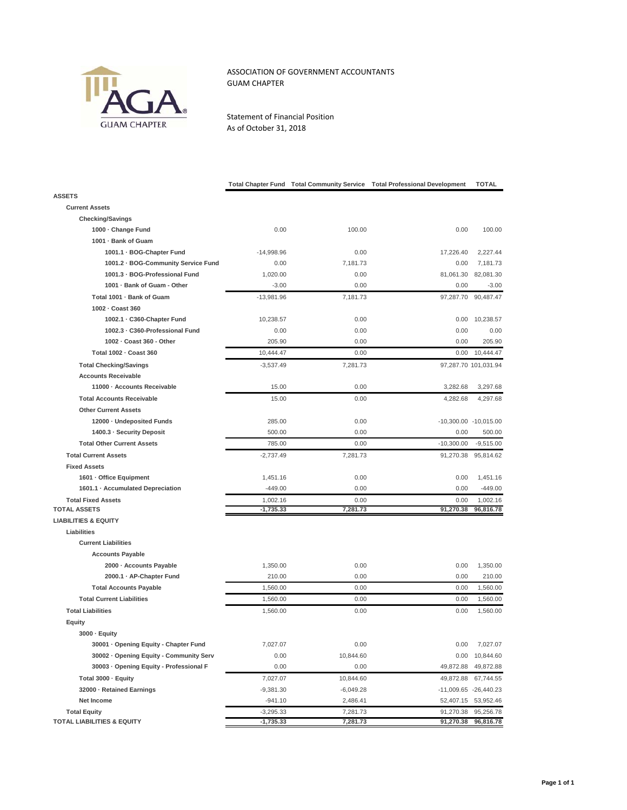

## ASSOCIATION OF GOVERNMENT ACCOUNTANTS GUAM CHAPTER

Statement of Financial Position As of October 31, 2018

|                                                  | <b>Total Chapter Fund</b> | <b>Total Community Service</b> | <b>Total Professional Development</b> | TOTAL                                        |
|--------------------------------------------------|---------------------------|--------------------------------|---------------------------------------|----------------------------------------------|
| <b>ASSETS</b>                                    |                           |                                |                                       |                                              |
| <b>Current Assets</b>                            |                           |                                |                                       |                                              |
| <b>Checking/Savings</b>                          |                           |                                |                                       |                                              |
| 1000 - Change Fund                               | 0.00                      | 100.00                         | 0.00                                  | 100.00                                       |
| 1001 · Bank of Guam                              |                           |                                |                                       |                                              |
| 1001.1 · BOG-Chapter Fund                        | $-14,998.96$              | 0.00                           | 17,226.40                             | 2,227.44                                     |
| 1001.2 · BOG-Community Service Fund              | 0.00                      | 7,181.73                       | 0.00                                  | 7,181.73                                     |
| 1001.3 · BOG-Professional Fund                   | 1,020.00                  | 0.00                           | 81,061.30                             | 82,081.30                                    |
| 1001 · Bank of Guam - Other                      | $-3.00$                   | 0.00                           | 0.00                                  | $-3.00$                                      |
| Total 1001 · Bank of Guam                        | $-13,981.96$              | 7,181.73                       | 97,287.70                             | 90,487.47                                    |
| 1002 · Coast 360                                 |                           |                                |                                       |                                              |
| 1002.1 · C360-Chapter Fund                       | 10,238.57                 | 0.00                           | 0.00                                  | 10,238.57                                    |
| 1002.3 · C360-Professional Fund                  | 0.00                      | 0.00                           | 0.00                                  | 0.00                                         |
| 1002 - Coast 360 - Other                         | 205.90                    | 0.00                           | 0.00                                  | 205.90                                       |
| Total 1002 - Coast 360                           | 10,444.47                 | 0.00                           | 0.00                                  | 10,444.47                                    |
| <b>Total Checking/Savings</b>                    | $-3,537.49$               | 7,281.73                       |                                       | 97,287.70 101,031.94                         |
| <b>Accounts Receivable</b>                       |                           |                                |                                       |                                              |
| 11000 · Accounts Receivable                      | 15.00                     | 0.00                           | 3,282.68                              | 3,297.68                                     |
| <b>Total Accounts Receivable</b>                 | 15.00                     | 0.00                           | 4,282.68                              | 4,297.68                                     |
| <b>Other Current Assets</b>                      |                           |                                |                                       |                                              |
| 12000 - Undeposited Funds                        | 285.00                    | 0.00                           |                                       | -10,300.00 -10,015.00                        |
| 1400.3 · Security Deposit                        | 500.00                    | 0.00                           | 0.00                                  | 500.00                                       |
| <b>Total Other Current Assets</b>                | 785.00                    | 0.00                           | $-10,300.00$                          | $-9,515.00$                                  |
| <b>Total Current Assets</b>                      | $-2,737.49$               | 7,281.73                       | 91,270.38                             | 95,814.62                                    |
| <b>Fixed Assets</b>                              |                           |                                |                                       |                                              |
| 1601 - Office Equipment                          | 1,451.16                  | 0.00                           | 0.00                                  | 1,451.16                                     |
| 1601.1 · Accumulated Depreciation                | $-449.00$                 | 0.00                           | 0.00                                  | $-449.00$                                    |
| <b>Total Fixed Assets</b><br><b>TOTAL ASSETS</b> | 1,002.16<br>$-1,735.33$   | 0.00<br>7,281.73               | 0.00<br>91,270.38                     | 1,002.16<br>96,816.78                        |
| <b>LIABILITIES &amp; EQUITY</b>                  |                           |                                |                                       |                                              |
| Liabilities                                      |                           |                                |                                       |                                              |
| <b>Current Liabilities</b>                       |                           |                                |                                       |                                              |
| <b>Accounts Payable</b>                          |                           |                                |                                       |                                              |
| 2000 - Accounts Payable                          | 1,350.00                  | 0.00                           | 0.00                                  | 1,350.00                                     |
| 2000.1 · AP-Chapter Fund                         | 210.00                    | 0.00                           | 0.00                                  | 210.00                                       |
| <b>Total Accounts Payable</b>                    | 1,560.00                  | 0.00                           | 0.00                                  | 1,560.00                                     |
| <b>Total Current Liabilities</b>                 | 1,560.00                  | 0.00                           | 0.00                                  | 1,560.00                                     |
| <b>Total Liabilities</b>                         | 1,560.00                  | 0.00                           | 0.00                                  | 1,560.00                                     |
| Equity                                           |                           |                                |                                       |                                              |
| 3000 · Equity                                    |                           |                                |                                       |                                              |
| 30001 · Opening Equity - Chapter Fund            | 7,027.07                  | 0.00                           | 0.00                                  | 7,027.07                                     |
| 30002 · Opening Equity - Community Serv          | 0.00                      | 10,844.60                      | 0.00                                  | 10,844.60                                    |
| 30003 · Opening Equity - Professional F          | 0.00                      | 0.00                           | 49,872.88                             | 49,872.88                                    |
|                                                  | 7,027.07                  |                                |                                       |                                              |
| Total 3000 · Equity<br>32000 - Retained Earnings |                           | 10,844.60                      | 49,872.88                             | 67,744.55                                    |
| Net Income                                       | $-9,381.30$<br>$-941.10$  | $-6,049.28$<br>2,486.41        |                                       | -11,009.65 -26,440.23<br>52,407.15 53,952.46 |
| <b>Total Equity</b>                              | $-3,295.33$               | 7,281.73                       | 91,270.38                             | 95,256.78                                    |
| <b>TOTAL LIABILITIES &amp; EQUITY</b>            | -1,735.33                 | 7,281.73                       | 91,270.38                             | 96,816.78                                    |
|                                                  |                           |                                |                                       |                                              |